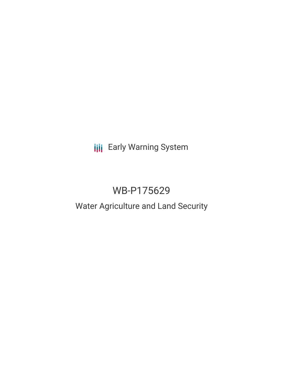# **III** Early Warning System

## WB-P175629

### Water Agriculture and Land Security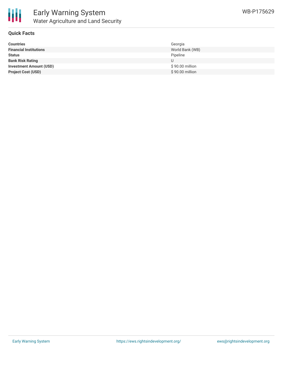

#### **Quick Facts**

| <b>Countries</b>               | Georgia         |
|--------------------------------|-----------------|
| <b>Financial Institutions</b>  | World Bank (WB) |
| <b>Status</b>                  | Pipeline        |
| <b>Bank Risk Rating</b>        | U               |
| <b>Investment Amount (USD)</b> | \$90.00 million |
| <b>Project Cost (USD)</b>      | \$90.00 million |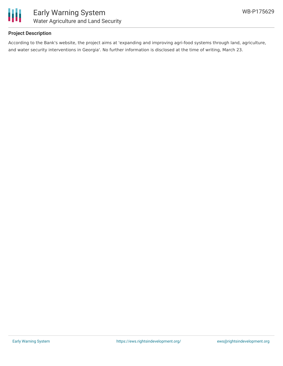

#### **Project Description**

According to the Bank's website, the project aims at 'expanding and improving agri-food systems through land, agriculture, and water security interventions in Georgia'. No further information is disclosed at the time of writing, March 23.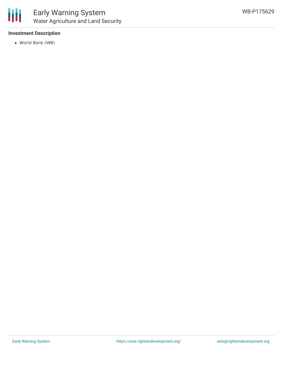

#### **Investment Description**

World Bank (WB)